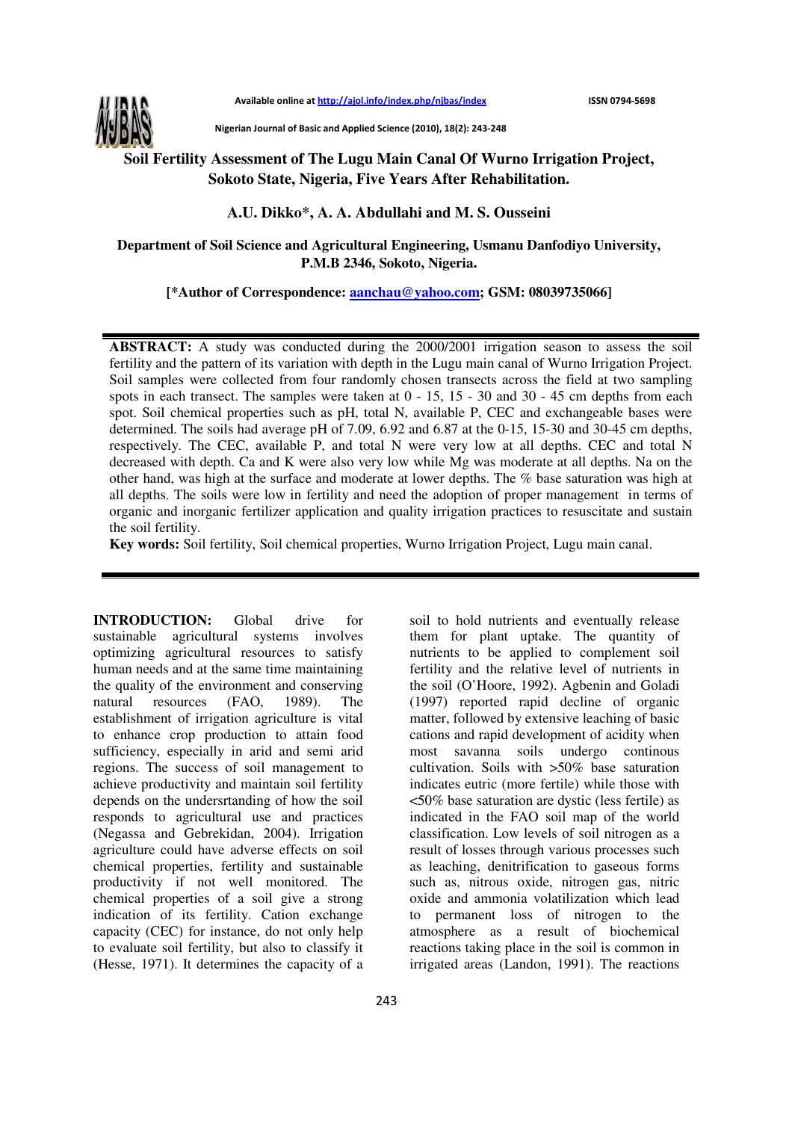

Nigerian Journal of Basic and Applied Science (2010), 18(2): 243-248

## **Soil Fertility Assessment of The Lugu Main Canal Of Wurno Irrigation Project, Sokoto State, Nigeria, Five Years After Rehabilitation.**

**A.U. Dikko\*, A. A. Abdullahi and M. S. Ousseini** 

**Department of Soil Science and Agricultural Engineering, Usmanu Danfodiyo University, P.M.B 2346, Sokoto, Nigeria.** 

**[\*Author of Correspondence: aanchau@yahoo.com; GSM: 08039735066]**

**ABSTRACT:** A study was conducted during the 2000/2001 irrigation season to assess the soil fertility and the pattern of its variation with depth in the Lugu main canal of Wurno Irrigation Project. Soil samples were collected from four randomly chosen transects across the field at two sampling spots in each transect. The samples were taken at 0 - 15, 15 - 30 and 30 - 45 cm depths from each spot. Soil chemical properties such as pH, total N, available P, CEC and exchangeable bases were determined. The soils had average pH of 7.09, 6.92 and 6.87 at the 0-15, 15-30 and 30-45 cm depths, respectively. The CEC, available P, and total N were very low at all depths. CEC and total N decreased with depth. Ca and K were also very low while Mg was moderate at all depths. Na on the other hand, was high at the surface and moderate at lower depths. The % base saturation was high at all depths. The soils were low in fertility and need the adoption of proper management in terms of organic and inorganic fertilizer application and quality irrigation practices to resuscitate and sustain the soil fertility.

**Key words:** Soil fertility, Soil chemical properties, Wurno Irrigation Project, Lugu main canal.

**INTRODUCTION:** Global drive for sustainable agricultural systems involves optimizing agricultural resources to satisfy human needs and at the same time maintaining the quality of the environment and conserving natural resources (FAO, 1989). The establishment of irrigation agriculture is vital to enhance crop production to attain food sufficiency, especially in arid and semi arid regions. The success of soil management to achieve productivity and maintain soil fertility depends on the undersrtanding of how the soil responds to agricultural use and practices (Negassa and Gebrekidan, 2004). Irrigation agriculture could have adverse effects on soil chemical properties, fertility and sustainable productivity if not well monitored. The chemical properties of a soil give a strong indication of its fertility. Cation exchange capacity (CEC) for instance, do not only help to evaluate soil fertility, but also to classify it (Hesse, 1971). It determines the capacity of a

soil to hold nutrients and eventually release them for plant uptake. The quantity of nutrients to be applied to complement soil fertility and the relative level of nutrients in the soil (O'Hoore, 1992). Agbenin and Goladi (1997) reported rapid decline of organic matter, followed by extensive leaching of basic cations and rapid development of acidity when most savanna soils undergo continous cultivation. Soils with >50% base saturation indicates eutric (more fertile) while those with <50% base saturation are dystic (less fertile) as indicated in the FAO soil map of the world classification. Low levels of soil nitrogen as a result of losses through various processes such as leaching, denitrification to gaseous forms such as, nitrous oxide, nitrogen gas, nitric oxide and ammonia volatilization which lead to permanent loss of nitrogen to the atmosphere as a result of biochemical reactions taking place in the soil is common in irrigated areas (Landon, 1991). The reactions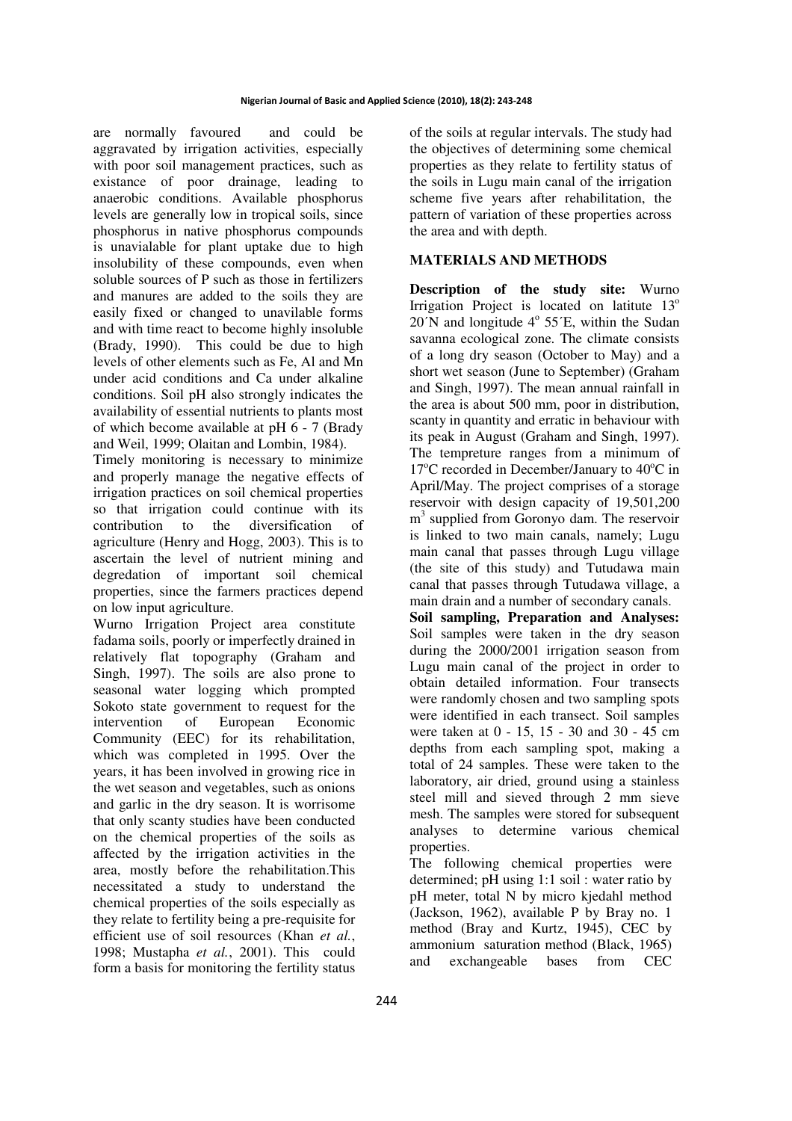are normally favoured and could be aggravated by irrigation activities, especially with poor soil management practices, such as existance of poor drainage, leading to anaerobic conditions. Available phosphorus levels are generally low in tropical soils, since phosphorus in native phosphorus compounds is unavialable for plant uptake due to high insolubility of these compounds, even when soluble sources of P such as those in fertilizers and manures are added to the soils they are easily fixed or changed to unavilable forms and with time react to become highly insoluble (Brady, 1990). This could be due to high levels of other elements such as Fe, Al and Mn under acid conditions and Ca under alkaline conditions. Soil pH also strongly indicates the availability of essential nutrients to plants most of which become available at pH 6 - 7 (Brady and Weil, 1999; Olaitan and Lombin, 1984).

Timely monitoring is necessary to minimize and properly manage the negative effects of irrigation practices on soil chemical properties so that irrigation could continue with its contribution to the diversification of agriculture (Henry and Hogg, 2003). This is to ascertain the level of nutrient mining and degredation of important soil chemical properties, since the farmers practices depend on low input agriculture.

Wurno Irrigation Project area constitute fadama soils, poorly or imperfectly drained in relatively flat topography (Graham and Singh, 1997). The soils are also prone to seasonal water logging which prompted Sokoto state government to request for the intervention of European Economic Community (EEC) for its rehabilitation, which was completed in 1995. Over the years, it has been involved in growing rice in the wet season and vegetables, such as onions and garlic in the dry season. It is worrisome that only scanty studies have been conducted on the chemical properties of the soils as affected by the irrigation activities in the area, mostly before the rehabilitation.This necessitated a study to understand the chemical properties of the soils especially as they relate to fertility being a pre-requisite for efficient use of soil resources (Khan *et al.*, 1998; Mustapha *et al.*, 2001). This could form a basis for monitoring the fertility status of the soils at regular intervals. The study had the objectives of determining some chemical properties as they relate to fertility status of the soils in Lugu main canal of the irrigation scheme five years after rehabilitation, the pattern of variation of these properties across the area and with depth.

## **MATERIALS AND METHODS**

**Description of the study site:** Wurno Irrigation Project is located on latitute  $13^{\circ}$  $20'N$  and longitude  $4^{\circ}$  55<sup>'</sup>E, within the Sudan savanna ecological zone. The climate consists of a long dry season (October to May) and a short wet season (June to September) (Graham and Singh, 1997). The mean annual rainfall in the area is about 500 mm, poor in distribution, scanty in quantity and erratic in behaviour with its peak in August (Graham and Singh, 1997). The tempreture ranges from a minimum of  $17^{\circ}$ C recorded in December/January to  $40^{\circ}$ C in April/May. The project comprises of a storage reservoir with design capacity of 19,501,200 m<sup>3</sup> supplied from Goronyo dam. The reservoir is linked to two main canals, namely; Lugu main canal that passes through Lugu village (the site of this study) and Tutudawa main canal that passes through Tutudawa village, a main drain and a number of secondary canals.

**Soil sampling, Preparation and Analyses:**  Soil samples were taken in the dry season during the 2000/2001 irrigation season from Lugu main canal of the project in order to obtain detailed information. Four transects were randomly chosen and two sampling spots were identified in each transect. Soil samples were taken at 0 - 15, 15 - 30 and 30 - 45 cm depths from each sampling spot, making a total of 24 samples. These were taken to the laboratory, air dried, ground using a stainless steel mill and sieved through 2 mm sieve mesh. The samples were stored for subsequent analyses to determine various chemical properties.

The following chemical properties were determined; pH using 1:1 soil : water ratio by pH meter, total N by micro kjedahl method (Jackson, 1962), available P by Bray no. 1 method (Bray and Kurtz, 1945), CEC by ammonium saturation method (Black, 1965) and exchangeable bases from CEC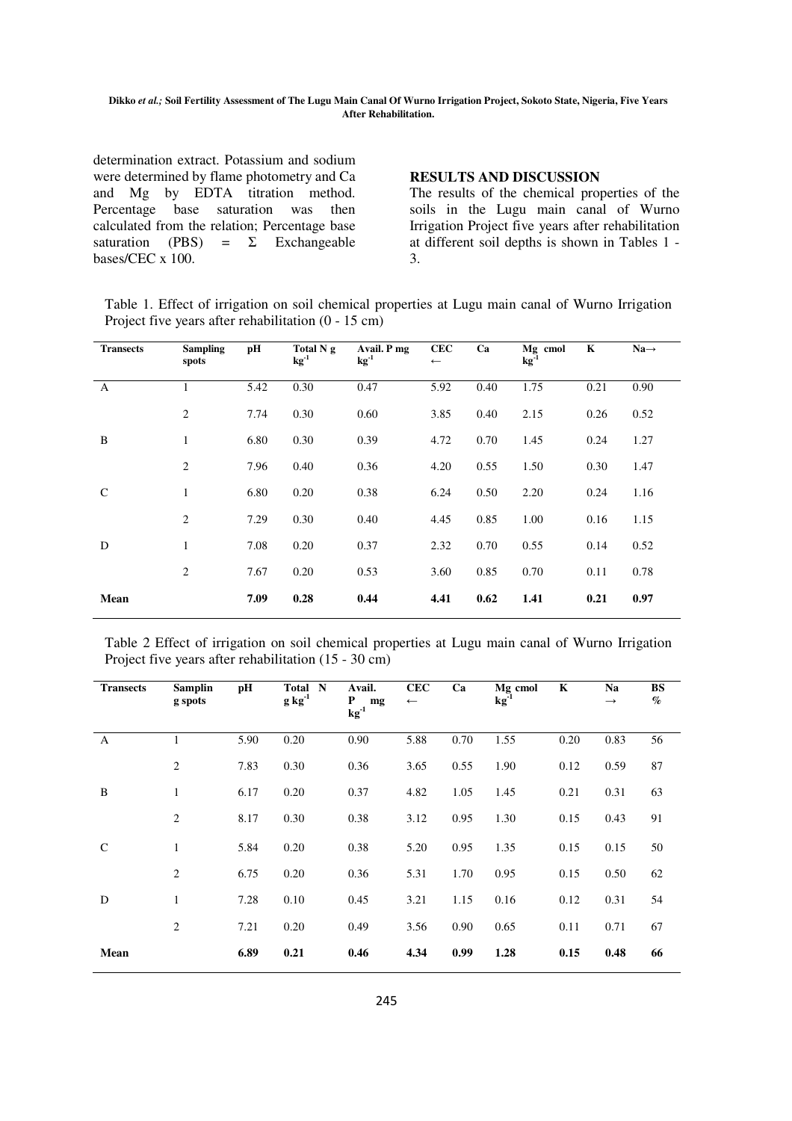## **Dikko** *et al.;* **Soil Fertility Assessment of The Lugu Main Canal Of Wurno Irrigation Project, Sokoto State, Nigeria, Five Years After Rehabilitation.**

determination extract. Potassium and sodium were determined by flame photometry and Ca and Mg by EDTA titration method. Percentage base saturation was then calculated from the relation; Percentage base saturation (PBS) =  $\Sigma$  Exchangeable bases/CEC x 100.

**RESULTS AND DISCUSSION** 

The results of the chemical properties of the soils in the Lugu main canal of Wurno Irrigation Project five years after rehabilitation at different soil depths is shown in Tables 1 - 3.

Table 1. Effect of irrigation on soil chemical properties at Lugu main canal of Wurno Irrigation Project five years after rehabilitation (0 - 15 cm)

| <b>Transects</b> | <b>Sampling</b><br>spots | рH   | Total N g<br>$kg^{-1}$ | Avail. P mg<br>$kg^{-1}$ | <b>CEC</b><br>$\longleftarrow$ | Ca   | Mg cmol<br>$kg^{-1}$ | K    | $Na \rightarrow$ |
|------------------|--------------------------|------|------------------------|--------------------------|--------------------------------|------|----------------------|------|------------------|
| $\mathbf{A}$     | $\mathbf{1}$             | 5.42 | 0.30                   | 0.47                     | 5.92                           | 0.40 | 1.75                 | 0.21 | 0.90             |
|                  | 2                        | 7.74 | 0.30                   | 0.60                     | 3.85                           | 0.40 | 2.15                 | 0.26 | 0.52             |
| B                | $\mathbf{1}$             | 6.80 | 0.30                   | 0.39                     | 4.72                           | 0.70 | 1.45                 | 0.24 | 1.27             |
|                  | 2                        | 7.96 | 0.40                   | 0.36                     | 4.20                           | 0.55 | 1.50                 | 0.30 | 1.47             |
| $\mathsf{C}$     | $\mathbf{1}$             | 6.80 | 0.20                   | 0.38                     | 6.24                           | 0.50 | 2.20                 | 0.24 | 1.16             |
|                  | 2                        | 7.29 | 0.30                   | 0.40                     | 4.45                           | 0.85 | 1.00                 | 0.16 | 1.15             |
| D                | $\mathbf{1}$             | 7.08 | 0.20                   | 0.37                     | 2.32                           | 0.70 | 0.55                 | 0.14 | 0.52             |
|                  | 2                        | 7.67 | 0.20                   | 0.53                     | 3.60                           | 0.85 | 0.70                 | 0.11 | 0.78             |
| Mean             |                          | 7.09 | 0.28                   | 0.44                     | 4.41                           | 0.62 | 1.41                 | 0.21 | 0.97             |

Table 2 Effect of irrigation on soil chemical properties at Lugu main canal of Wurno Irrigation Project five years after rehabilitation (15 - 30 cm)

| <b>Transects</b> | <b>Samplin</b><br>g spots | pН   | Total N<br>$g kg^{-1}$ | Avail.<br>P<br>mg<br>$\mathbf{kg}^{-1}$ | <b>CEC</b><br>$\longleftarrow$ | Ca   | Mg cmol<br>$kg-1$ | K    | Na<br>$\rightarrow$ | <b>BS</b><br>$\%$ |
|------------------|---------------------------|------|------------------------|-----------------------------------------|--------------------------------|------|-------------------|------|---------------------|-------------------|
| A                | 1                         | 5.90 | 0.20                   | 0.90                                    | 5.88                           | 0.70 | 1.55              | 0.20 | 0.83                | 56                |
|                  | $\overline{c}$            | 7.83 | 0.30                   | 0.36                                    | 3.65                           | 0.55 | 1.90              | 0.12 | 0.59                | 87                |
| B                | $\mathbf{1}$              | 6.17 | 0.20                   | 0.37                                    | 4.82                           | 1.05 | 1.45              | 0.21 | 0.31                | 63                |
|                  | $\overline{c}$            | 8.17 | 0.30                   | 0.38                                    | 3.12                           | 0.95 | 1.30              | 0.15 | 0.43                | 91                |
| $\mathcal{C}$    | $\mathbf{1}$              | 5.84 | 0.20                   | 0.38                                    | 5.20                           | 0.95 | 1.35              | 0.15 | 0.15                | 50                |
|                  | 2                         | 6.75 | 0.20                   | 0.36                                    | 5.31                           | 1.70 | 0.95              | 0.15 | 0.50                | 62                |
| D                | $\mathbf{1}$              | 7.28 | 0.10                   | 0.45                                    | 3.21                           | 1.15 | 0.16              | 0.12 | 0.31                | 54                |
|                  | $\overline{2}$            | 7.21 | 0.20                   | 0.49                                    | 3.56                           | 0.90 | 0.65              | 0.11 | 0.71                | 67                |
| Mean             |                           | 6.89 | 0.21                   | 0.46                                    | 4.34                           | 0.99 | 1.28              | 0.15 | 0.48                | 66                |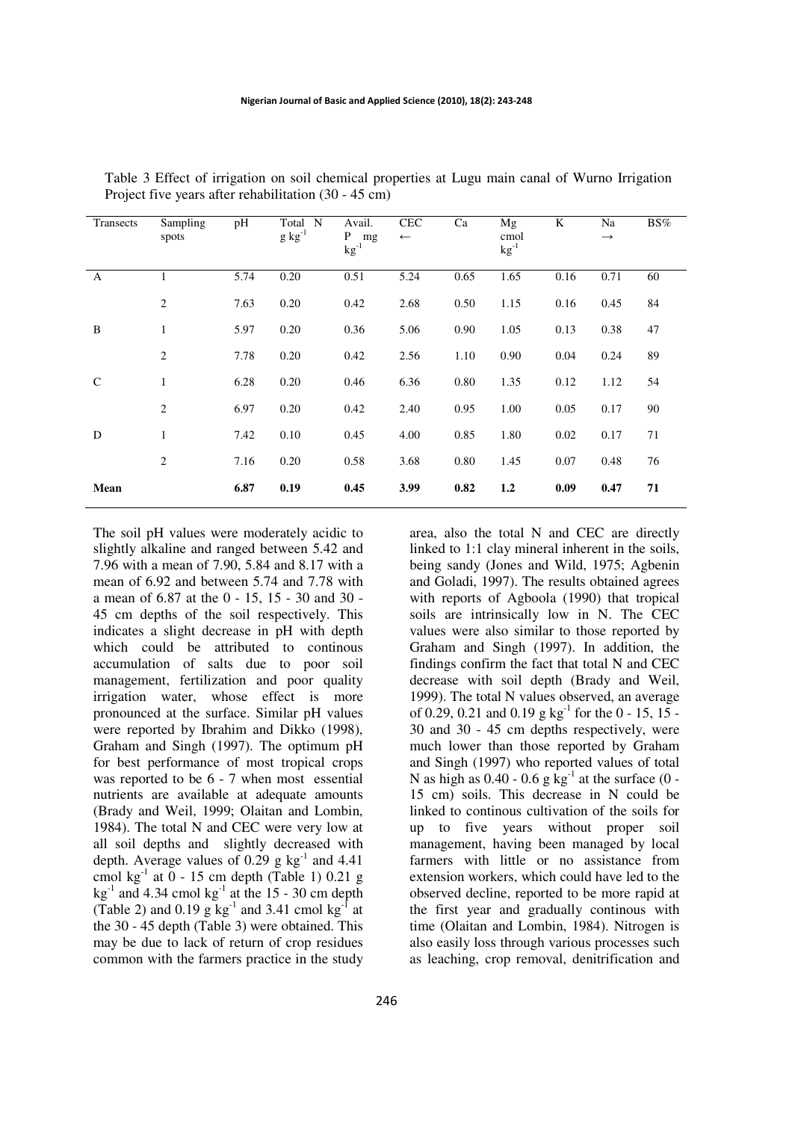| Transects     | Sampling<br>spots | pH   | Total N<br>$g kg^{-1}$ | Avail.<br>P<br>mg<br>$kg^{-1}$ | <b>CEC</b><br>$\leftarrow$ | Ca   | Mg<br>cmol<br>$kg^{-1}$ | K    | Na<br>$\rightarrow$ | BS% |
|---------------|-------------------|------|------------------------|--------------------------------|----------------------------|------|-------------------------|------|---------------------|-----|
| $\mathbf{A}$  |                   | 5.74 | 0.20                   | 0.51                           | 5.24                       | 0.65 | 1.65                    | 0.16 | 0.71                | 60  |
|               | $\overline{2}$    | 7.63 | 0.20                   | 0.42                           | 2.68                       | 0.50 | 1.15                    | 0.16 | 0.45                | 84  |
| B             | $\mathbf{1}$      | 5.97 | 0.20                   | 0.36                           | 5.06                       | 0.90 | 1.05                    | 0.13 | 0.38                | 47  |
|               | $\overline{2}$    | 7.78 | 0.20                   | 0.42                           | 2.56                       | 1.10 | 0.90                    | 0.04 | 0.24                | 89  |
| $\mathcal{C}$ | $\mathbf{1}$      | 6.28 | 0.20                   | 0.46                           | 6.36                       | 0.80 | 1.35                    | 0.12 | 1.12                | 54  |
|               | $\overline{2}$    | 6.97 | 0.20                   | 0.42                           | 2.40                       | 0.95 | 1.00                    | 0.05 | 0.17                | 90  |
| D             | $\mathbf{1}$      | 7.42 | 0.10                   | 0.45                           | 4.00                       | 0.85 | 1.80                    | 0.02 | 0.17                | 71  |
|               | $\overline{2}$    | 7.16 | 0.20                   | 0.58                           | 3.68                       | 0.80 | 1.45                    | 0.07 | 0.48                | 76  |
| Mean          |                   | 6.87 | 0.19                   | 0.45                           | 3.99                       | 0.82 | 1,2                     | 0.09 | 0.47                | 71  |

Table 3 Effect of irrigation on soil chemical properties at Lugu main canal of Wurno Irrigation Project five years after rehabilitation (30 - 45 cm)

The soil pH values were moderately acidic to slightly alkaline and ranged between 5.42 and 7.96 with a mean of 7.90, 5.84 and 8.17 with a mean of 6.92 and between 5.74 and 7.78 with a mean of 6.87 at the 0 - 15, 15 - 30 and 30 - 45 cm depths of the soil respectively. This indicates a slight decrease in pH with depth which could be attributed to continous accumulation of salts due to poor soil management, fertilization and poor quality irrigation water, whose effect is more pronounced at the surface. Similar pH values were reported by Ibrahim and Dikko (1998), Graham and Singh (1997). The optimum pH for best performance of most tropical crops was reported to be 6 - 7 when most essential nutrients are available at adequate amounts (Brady and Weil, 1999; Olaitan and Lombin, 1984). The total N and CEC were very low at all soil depths and slightly decreased with depth. Average values of  $0.29$  g kg<sup>-1</sup> and 4.41 cmol kg $^{-1}$  at  $0 - 15$  cm depth (Table 1) 0.21 g  $kg<sup>-1</sup>$  and 4.34 cmol kg<sup>-1</sup> at the 15 - 30 cm depth (Table 2) and 0.19 g  $kg^{-1}$  and 3.41 cmol  $kg^{-1}$  at the 30 - 45 depth (Table 3) were obtained. This may be due to lack of return of crop residues common with the farmers practice in the study

area, also the total N and CEC are directly linked to 1:1 clay mineral inherent in the soils, being sandy (Jones and Wild, 1975; Agbenin and Goladi, 1997). The results obtained agrees with reports of Agboola (1990) that tropical soils are intrinsically low in N. The CEC values were also similar to those reported by Graham and Singh (1997). In addition, the findings confirm the fact that total N and CEC decrease with soil depth (Brady and Weil, 1999). The total N values observed, an average of 0.29, 0.21 and 0.19 g  $kg^{-1}$  for the 0 - 15, 15 -30 and 30 - 45 cm depths respectively, were much lower than those reported by Graham and Singh (1997) who reported values of total N as high as  $0.40 - 0.6$  g kg<sup>-1</sup> at the surface  $(0 -$ 15 cm) soils. This decrease in N could be linked to continous cultivation of the soils for up to five years without proper soil management, having been managed by local farmers with little or no assistance from extension workers, which could have led to the observed decline, reported to be more rapid at the first year and gradually continous with time (Olaitan and Lombin, 1984). Nitrogen is also easily loss through various processes such as leaching, crop removal, denitrification and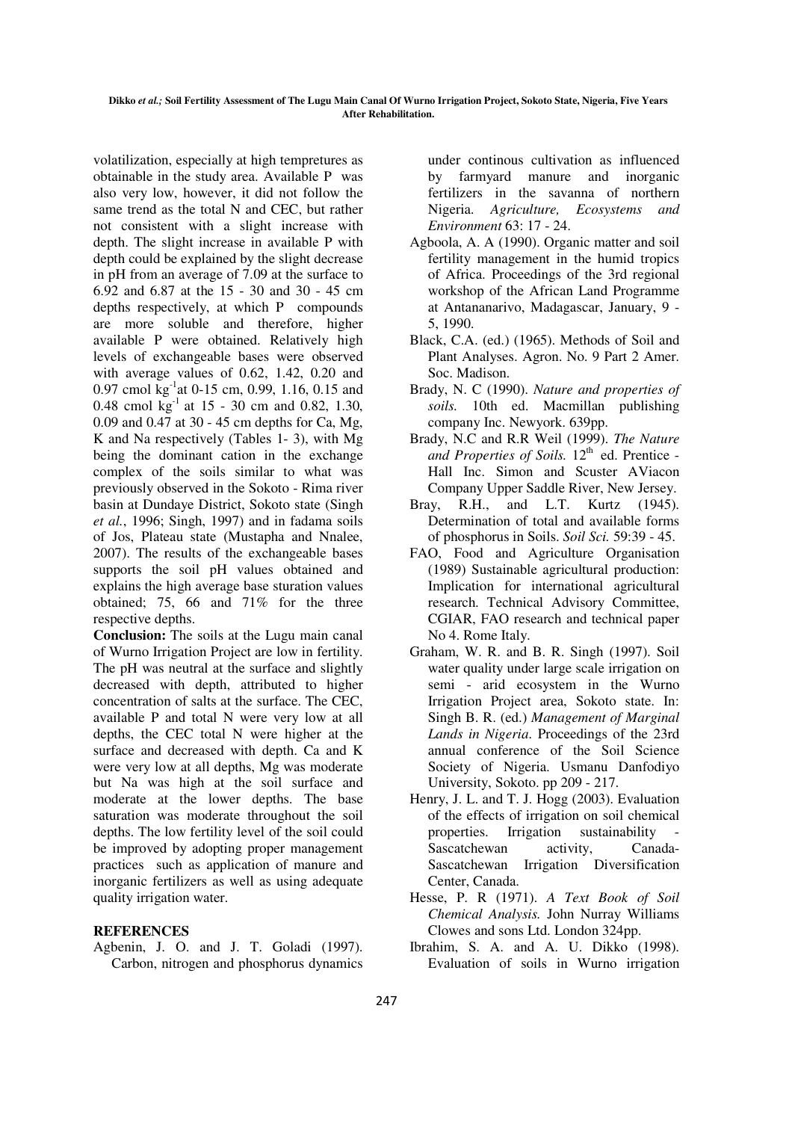volatilization, especially at high tempretures as obtainable in the study area. Available P was also very low, however, it did not follow the same trend as the total N and CEC, but rather not consistent with a slight increase with depth. The slight increase in available P with depth could be explained by the slight decrease in pH from an average of 7.09 at the surface to 6.92 and 6.87 at the 15 - 30 and 30 - 45 cm depths respectively, at which P compounds are more soluble and therefore, higher available P were obtained. Relatively high levels of exchangeable bases were observed with average values of 0.62, 1.42, 0.20 and 0.97 cmol kg<sup>-1</sup>at 0-15 cm, 0.99, 1.16, 0.15 and 0.48 cmol  $\text{kg}^{-1}$  at 15 - 30 cm and 0.82, 1.30, 0.09 and 0.47 at 30 - 45 cm depths for Ca, Mg, K and Na respectively (Tables 1- 3), with Mg being the dominant cation in the exchange complex of the soils similar to what was previously observed in the Sokoto - Rima river basin at Dundaye District, Sokoto state (Singh *et al.*, 1996; Singh, 1997) and in fadama soils of Jos, Plateau state (Mustapha and Nnalee, 2007). The results of the exchangeable bases supports the soil pH values obtained and explains the high average base sturation values obtained; 75, 66 and 71% for the three respective depths.

**Conclusion:** The soils at the Lugu main canal of Wurno Irrigation Project are low in fertility. The pH was neutral at the surface and slightly decreased with depth, attributed to higher concentration of salts at the surface. The CEC, available P and total N were very low at all depths, the CEC total N were higher at the surface and decreased with depth. Ca and K were very low at all depths, Mg was moderate but Na was high at the soil surface and moderate at the lower depths. The base saturation was moderate throughout the soil depths. The low fertility level of the soil could be improved by adopting proper management practices such as application of manure and inorganic fertilizers as well as using adequate quality irrigation water.

## **REFERENCES**

Agbenin, J. O. and J. T. Goladi (1997). Carbon, nitrogen and phosphorus dynamics under continous cultivation as influenced by farmyard manure and inorganic fertilizers in the savanna of northern Nigeria. *Agriculture, Ecosystems and Environment* 63: 17 - 24.

- Agboola, A. A (1990). Organic matter and soil fertility management in the humid tropics of Africa. Proceedings of the 3rd regional workshop of the African Land Programme at Antananarivo, Madagascar, January, 9 - 5, 1990.
- Black, C.A. (ed.) (1965). Methods of Soil and Plant Analyses. Agron. No. 9 Part 2 Amer. Soc. Madison.
- Brady, N. C (1990). *Nature and properties of soils.* 10th ed. Macmillan publishing company Inc. Newyork. 639pp.
- Brady, N.C and R.R Weil (1999). *The Nature*  and Properties of Soils. 12<sup>th</sup> ed. Prentice -Hall Inc. Simon and Scuster AViacon Company Upper Saddle River, New Jersey.
- Bray, R.H., and L.T. Kurtz (1945). Determination of total and available forms of phosphorus in Soils. *Soil Sci.* 59:39 - 45.
- FAO, Food and Agriculture Organisation (1989) Sustainable agricultural production: Implication for international agricultural research. Technical Advisory Committee, CGIAR, FAO research and technical paper No 4. Rome Italy.
- Graham, W. R. and B. R. Singh (1997). Soil water quality under large scale irrigation on semi - arid ecosystem in the Wurno Irrigation Project area, Sokoto state. In: Singh B. R. (ed.) *Management of Marginal Lands in Nigeria*. Proceedings of the 23rd annual conference of the Soil Science Society of Nigeria. Usmanu Danfodiyo University, Sokoto. pp 209 - 217.
- Henry, J. L. and T. J. Hogg (2003). Evaluation of the effects of irrigation on soil chemical properties. Irrigation sustainability Sascatchewan activity, Canada-Sascatchewan Irrigation Diversification Center, Canada.
- Hesse, P. R (1971). *A Text Book of Soil Chemical Analysis.* John Nurray Williams Clowes and sons Ltd. London 324pp.
- Ibrahim, S. A. and A. U. Dikko (1998). Evaluation of soils in Wurno irrigation